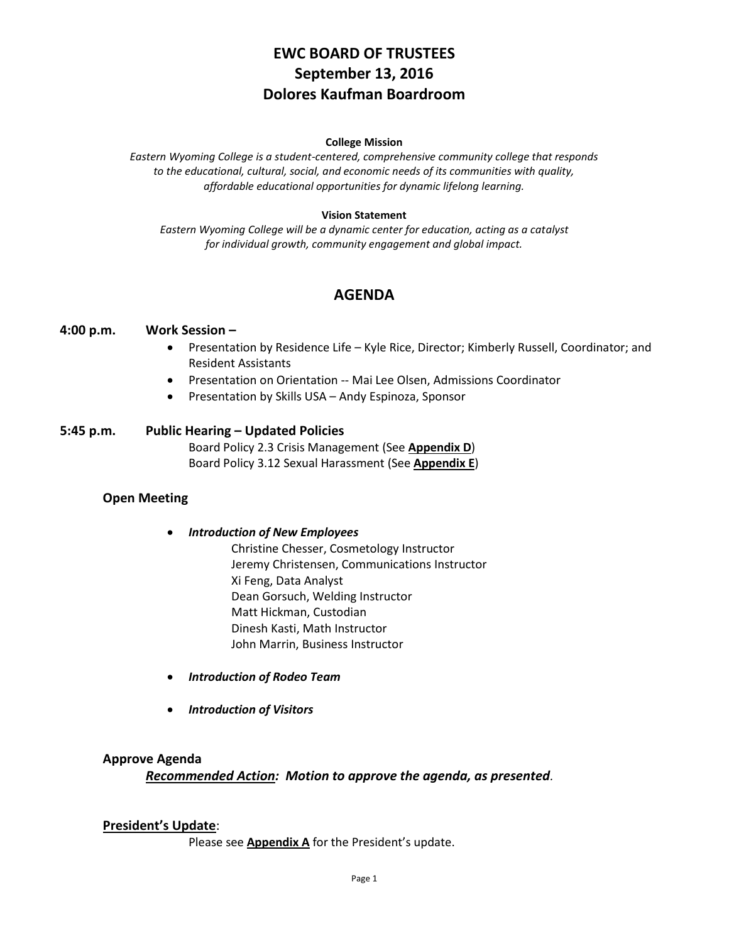# **EWC BOARD OF TRUSTEES September 13, 2016 Dolores Kaufman Boardroom**

#### **College Mission**

*Eastern Wyoming College is a student-centered, comprehensive community college that responds to the educational, cultural, social, and economic needs of its communities with quality, affordable educational opportunities for dynamic lifelong learning.*

#### **Vision Statement**

*Eastern Wyoming College will be a dynamic center for education, acting as a catalyst for individual growth, community engagement and global impact.*

# **AGENDA**

### **4:00 p.m. Work Session –**

- Presentation by Residence Life Kyle Rice, Director; Kimberly Russell, Coordinator; and Resident Assistants
- Presentation on Orientation -- Mai Lee Olsen, Admissions Coordinator
- Presentation by Skills USA Andy Espinoza, Sponsor

### **5:45 p.m. Public Hearing – Updated Policies**

Board Policy 2.3 Crisis Management (See **Appendix D**) Board Policy 3.12 Sexual Harassment (See **Appendix E**)

### **Open Meeting**

- *Introduction of New Employees* Christine Chesser, Cosmetology Instructor Jeremy Christensen, Communications Instructor Xi Feng, Data Analyst Dean Gorsuch, Welding Instructor Matt Hickman, Custodian Dinesh Kasti, Math Instructor John Marrin, Business Instructor
- *Introduction of Rodeo Team*
- *Introduction of Visitors*

### **Approve Agenda**

*Recommended Action: Motion to approve the agenda, as presented.*

### **President's Update**:

Please see **Appendix A** for the President's update.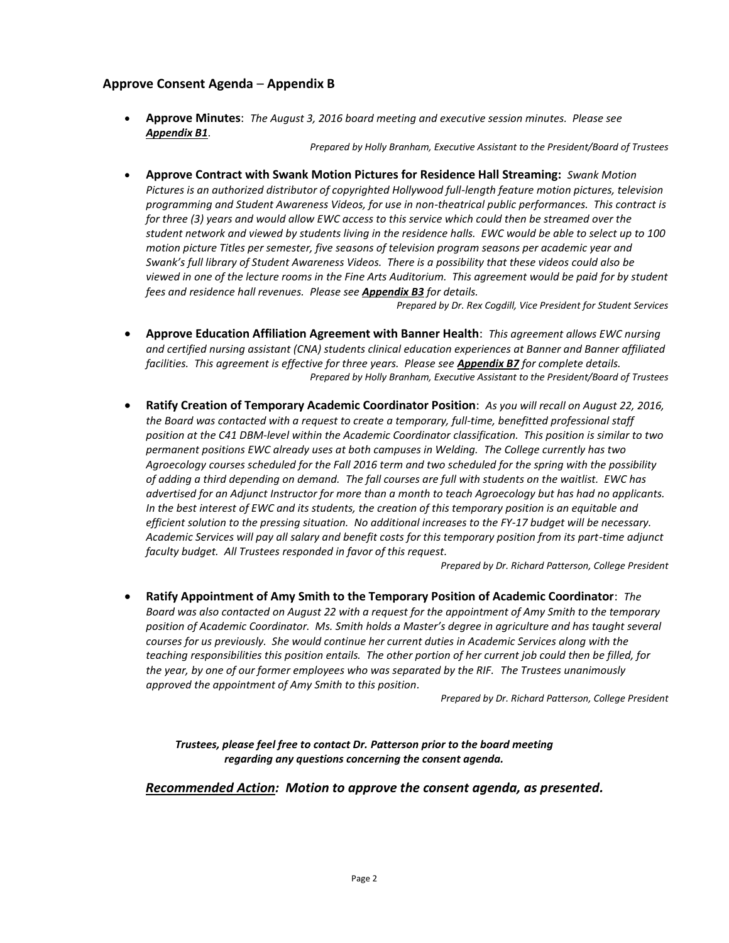### **Approve Consent Agenda** – **Appendix B**

 **Approve Minutes**: *The August 3, 2016 board meeting and executive session minutes. Please see Appendix B1*.

*Prepared by Holly Branham, Executive Assistant to the President/Board of Trustees*

 **Approve Contract with Swank Motion Pictures for Residence Hall Streaming:** *Swank Motion Pictures is an authorized distributor of copyrighted Hollywood full-length feature motion pictures, television programming and Student Awareness Videos, for use in non-theatrical public performances. This contract is for three (3) years and would allow EWC access to this service which could then be streamed over the student network and viewed by students living in the residence halls. EWC would be able to select up to 100 motion picture Titles per semester, five seasons of television program seasons per academic year and Swank's full library of Student Awareness Videos. There is a possibility that these videos could also be viewed in one of the lecture rooms in the Fine Arts Auditorium. This agreement would be paid for by student fees and residence hall revenues. Please see Appendix B3 for details.*

*Prepared by Dr. Rex Cogdill, Vice President for Student Services*

- **Approve Education Affiliation Agreement with Banner Health**: *This agreement allows EWC nursing and certified nursing assistant (CNA) students clinical education experiences at Banner and Banner affiliated facilities. This agreement is effective for three years. Please see Appendix B7 for complete details. Prepared by Holly Branham, Executive Assistant to the President/Board of Trustees*
- **Ratify Creation of Temporary Academic Coordinator Position**: *As you will recall on August 22, 2016, the Board was contacted with a request to create a temporary, full-time, benefitted professional staff position at the C41 DBM-level within the Academic Coordinator classification. This position is similar to two permanent positions EWC already uses at both campuses in Welding. The College currently has two Agroecology courses scheduled for the Fall 2016 term and two scheduled for the spring with the possibility of adding a third depending on demand. The fall courses are full with students on the waitlist. EWC has advertised for an Adjunct Instructor for more than a month to teach Agroecology but has had no applicants. In the best interest of EWC and its students, the creation of this temporary position is an equitable and efficient solution to the pressing situation. No additional increases to the FY-17 budget will be necessary. Academic Services will pay all salary and benefit costs for this temporary position from its part-time adjunct faculty budget. All Trustees responded in favor of this request.*

*Prepared by Dr. Richard Patterson, College President*

 **Ratify Appointment of Amy Smith to the Temporary Position of Academic Coordinator**: *The Board was also contacted on August 22 with a request for the appointment of Amy Smith to the temporary position of Academic Coordinator. Ms. Smith holds a Master's degree in agriculture and has taught several courses for us previously. She would continue her current duties in Academic Services along with the teaching responsibilities this position entails. The other portion of her current job could then be filled, for the year, by one of our former employees who was separated by the RIF. The Trustees unanimously approved the appointment of Amy Smith to this position.*

*Prepared by Dr. Richard Patterson, College President*

*Trustees, please feel free to contact Dr. Patterson prior to the board meeting regarding any questions concerning the consent agenda.*

*Recommended Action: Motion to approve the consent agenda, as presented.*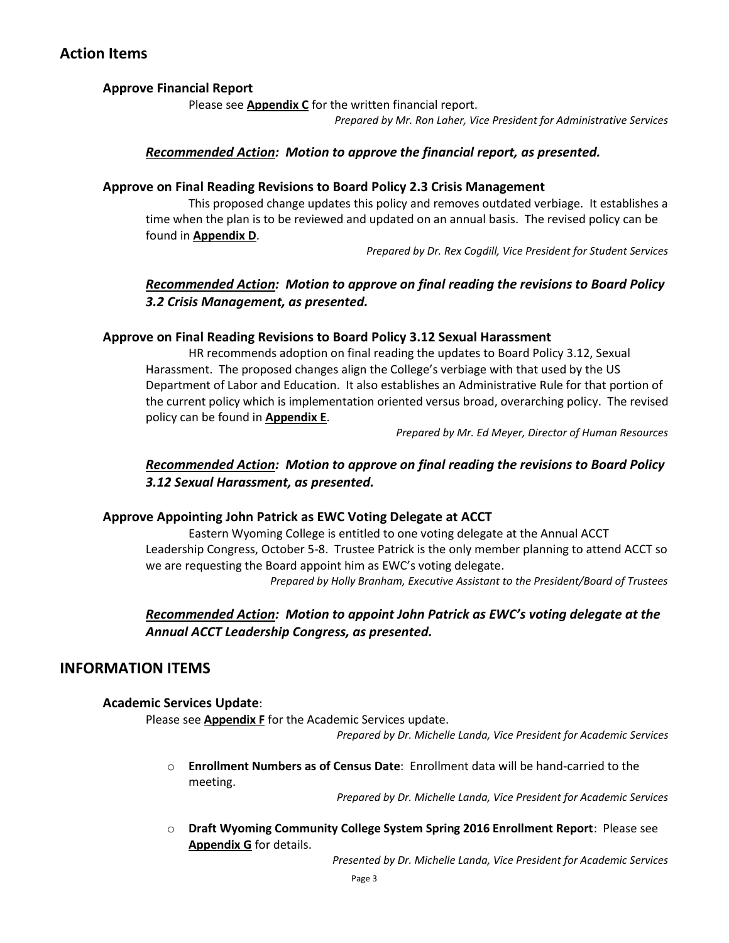# **Action Items**

# **Approve Financial Report**

Please see **Appendix C** for the written financial report.

*Prepared by Mr. Ron Laher, Vice President for Administrative Services*

# *Recommended Action: Motion to approve the financial report, as presented.*

### **Approve on Final Reading Revisions to Board Policy 2.3 Crisis Management**

This proposed change updates this policy and removes outdated verbiage. It establishes a time when the plan is to be reviewed and updated on an annual basis. The revised policy can be found in **Appendix D**.

*Prepared by Dr. Rex Cogdill, Vice President for Student Services*

# *Recommended Action: Motion to approve on final reading the revisions to Board Policy 3.2 Crisis Management, as presented.*

### **Approve on Final Reading Revisions to Board Policy 3.12 Sexual Harassment**

HR recommends adoption on final reading the updates to Board Policy 3.12, Sexual Harassment. The proposed changes align the College's verbiage with that used by the US Department of Labor and Education. It also establishes an Administrative Rule for that portion of the current policy which is implementation oriented versus broad, overarching policy. The revised policy can be found in **Appendix E**.

*Prepared by Mr. Ed Meyer, Director of Human Resources*

# *Recommended Action: Motion to approve on final reading the revisions to Board Policy 3.12 Sexual Harassment, as presented.*

### **Approve Appointing John Patrick as EWC Voting Delegate at ACCT**

Eastern Wyoming College is entitled to one voting delegate at the Annual ACCT Leadership Congress, October 5-8. Trustee Patrick is the only member planning to attend ACCT so we are requesting the Board appoint him as EWC's voting delegate. *Prepared by Holly Branham, Executive Assistant to the President/Board of Trustees*

# *Recommended Action: Motion to appoint John Patrick as EWC's voting delegate at the Annual ACCT Leadership Congress, as presented.*

# **INFORMATION ITEMS**

### **Academic Services Update**:

Please see **Appendix F** for the Academic Services update.

*Prepared by Dr. Michelle Landa, Vice President for Academic Services*

o **Enrollment Numbers as of Census Date**: Enrollment data will be hand-carried to the meeting.

*Prepared by Dr. Michelle Landa, Vice President for Academic Services*

o **Draft Wyoming Community College System Spring 2016 Enrollment Report**: Please see **Appendix G** for details.

*Presented by Dr. Michelle Landa, Vice President for Academic Services*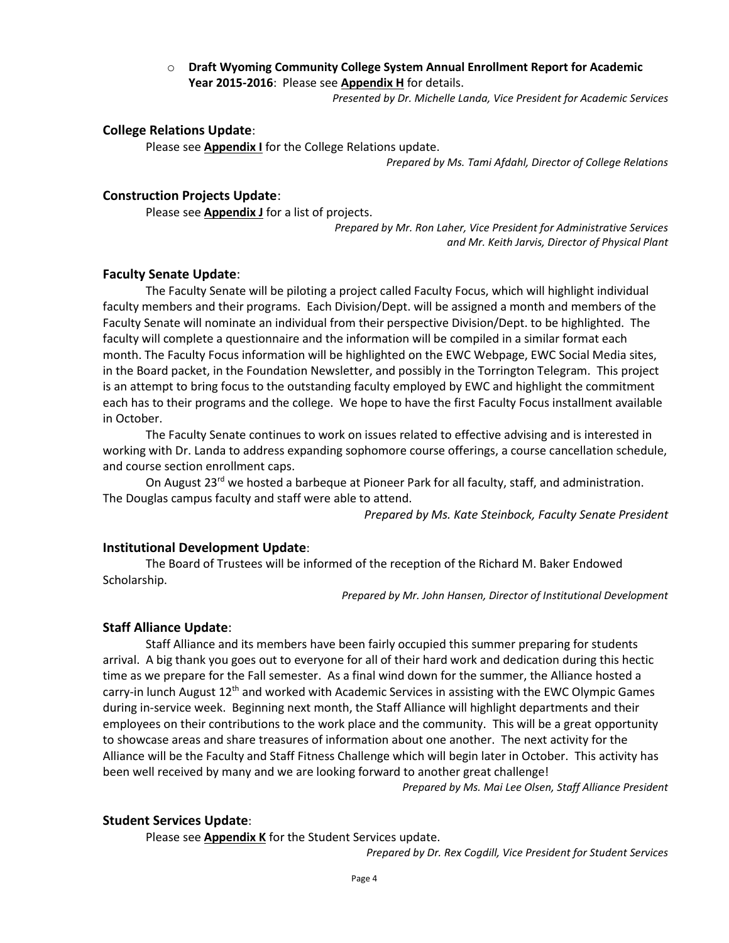### o **Draft Wyoming Community College System Annual Enrollment Report for Academic Year 2015-2016**: Please see **Appendix H** for details.

*Presented by Dr. Michelle Landa, Vice President for Academic Services*

#### **College Relations Update**:

Please see **Appendix I** for the College Relations update.

*Prepared by Ms. Tami Afdahl, Director of College Relations*

### **Construction Projects Update**:

Please see **Appendix J** for a list of projects.

*Prepared by Mr. Ron Laher, Vice President for Administrative Services and Mr. Keith Jarvis, Director of Physical Plant*

#### **Faculty Senate Update**:

The Faculty Senate will be piloting a project called Faculty Focus, which will highlight individual faculty members and their programs. Each Division/Dept. will be assigned a month and members of the Faculty Senate will nominate an individual from their perspective Division/Dept. to be highlighted. The faculty will complete a questionnaire and the information will be compiled in a similar format each month. The Faculty Focus information will be highlighted on the EWC Webpage, EWC Social Media sites, in the Board packet, in the Foundation Newsletter, and possibly in the Torrington Telegram. This project is an attempt to bring focus to the outstanding faculty employed by EWC and highlight the commitment each has to their programs and the college. We hope to have the first Faculty Focus installment available in October.

The Faculty Senate continues to work on issues related to effective advising and is interested in working with Dr. Landa to address expanding sophomore course offerings, a course cancellation schedule, and course section enrollment caps.

On August 23<sup>rd</sup> we hosted a barbeque at Pioneer Park for all faculty, staff, and administration. The Douglas campus faculty and staff were able to attend.

*Prepared by Ms. Kate Steinbock, Faculty Senate President*

#### **Institutional Development Update**:

The Board of Trustees will be informed of the reception of the Richard M. Baker Endowed Scholarship.

*Prepared by Mr. John Hansen, Director of Institutional Development*

#### **Staff Alliance Update**:

Staff Alliance and its members have been fairly occupied this summer preparing for students arrival. A big thank you goes out to everyone for all of their hard work and dedication during this hectic time as we prepare for the Fall semester. As a final wind down for the summer, the Alliance hosted a carry-in lunch August  $12<sup>th</sup>$  and worked with Academic Services in assisting with the EWC Olympic Games during in-service week. Beginning next month, the Staff Alliance will highlight departments and their employees on their contributions to the work place and the community. This will be a great opportunity to showcase areas and share treasures of information about one another. The next activity for the Alliance will be the Faculty and Staff Fitness Challenge which will begin later in October. This activity has been well received by many and we are looking forward to another great challenge!

*Prepared by Ms. Mai Lee Olsen, Staff Alliance President* 

#### **Student Services Update**:

Please see **Appendix K** for the Student Services update.

*Prepared by Dr. Rex Cogdill, Vice President for Student Services*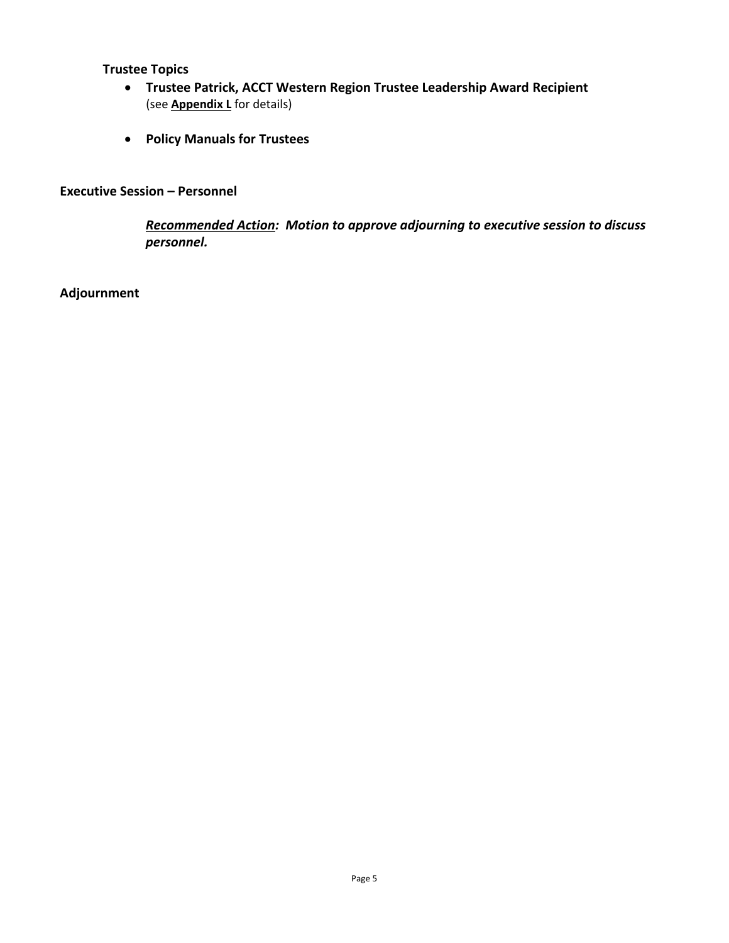**Trustee Topics**

- **Trustee Patrick, ACCT Western Region Trustee Leadership Award Recipient** (see **Appendix L** for details)
- **Policy Manuals for Trustees**

# **Executive Session – Personnel**

*Recommended Action: Motion to approve adjourning to executive session to discuss personnel.*

# **Adjournment**